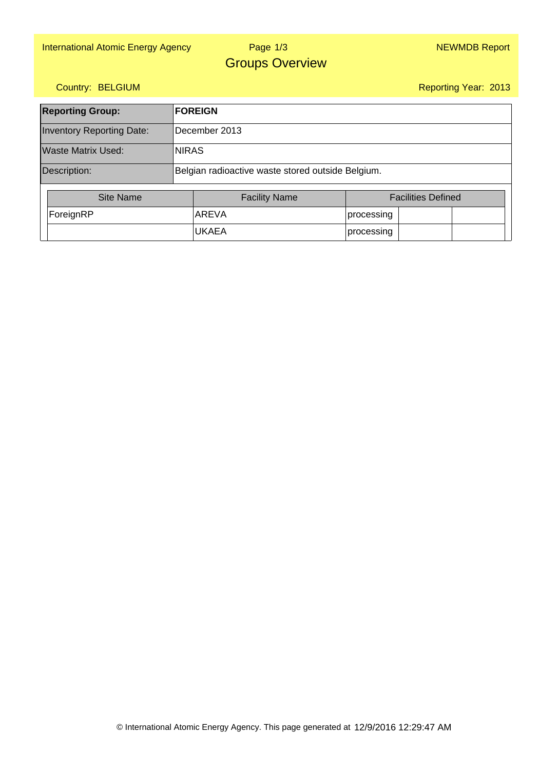# Page 1/3Groups Overview

### Country: BELGIUM

Reporting Year: 2013

| <b>Reporting Group:</b>          | <b>FOREIGN</b>                                    |                           |  |  |  |  |  |
|----------------------------------|---------------------------------------------------|---------------------------|--|--|--|--|--|
| <b>Inventory Reporting Date:</b> | December 2013                                     |                           |  |  |  |  |  |
| <b>Waste Matrix Used:</b>        | <b>NIRAS</b>                                      |                           |  |  |  |  |  |
| Description:                     | Belgian radioactive waste stored outside Belgium. |                           |  |  |  |  |  |
| <b>Site Name</b>                 | <b>Facility Name</b>                              | <b>Facilities Defined</b> |  |  |  |  |  |
| ForeignRP                        | AREVA                                             | processing                |  |  |  |  |  |
|                                  | <b>UKAEA</b>                                      | processing                |  |  |  |  |  |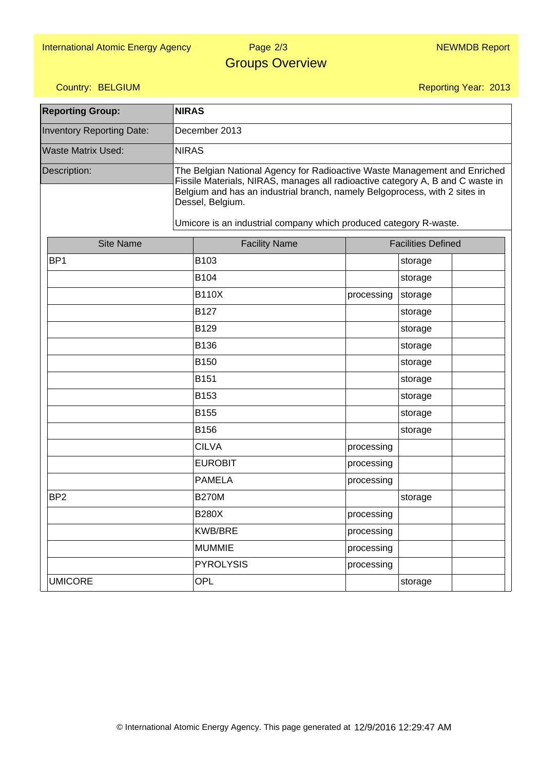Country: BELGIUM

## Page 2/3Groups Overview

Reporting Year: 2013

**Reporting Group:** Inventory Reporting Date: Waste Matrix Used: Description: December 2013 NIRAS **NIRAS** Site Name **Facility Name** Facility Name Facilities Defined BP1 |B103 |storage B104 storage state of the storage state of the storage B110X processing storage B127 storage state and storage B129 storage state of the storage state of the storage B136 storage state of the storage state of the storage state state state state state state state state state state state state state state state state state state state state state state state state state state state state B150 storage and storage state of the storage storage B151 storage states and storage states and storage B153 storage state of the storage state of the storage state  $\vert$  storage B155 storage and storage storage B156 storage state of the storage state of the storage state state state state state state state state state state state state state state state state state state state state state state state state state state state state CILVA processing EUROBIT processing PAMELA processing BP2 B270M |storage B280X processing KWB/BRE processing MUMMIE processing PYROLYSIS processing UMICORE OPL storage The Belgian National Agency for Radioactive Waste Management and Enriched Fissile Materials, NIRAS, manages all radioactive category A, B and C waste in Belgium and has an industrial branch, namely Belgoprocess, with 2 sites in Dessel, Belgium. Umicore is an industrial company which produced category R-waste.